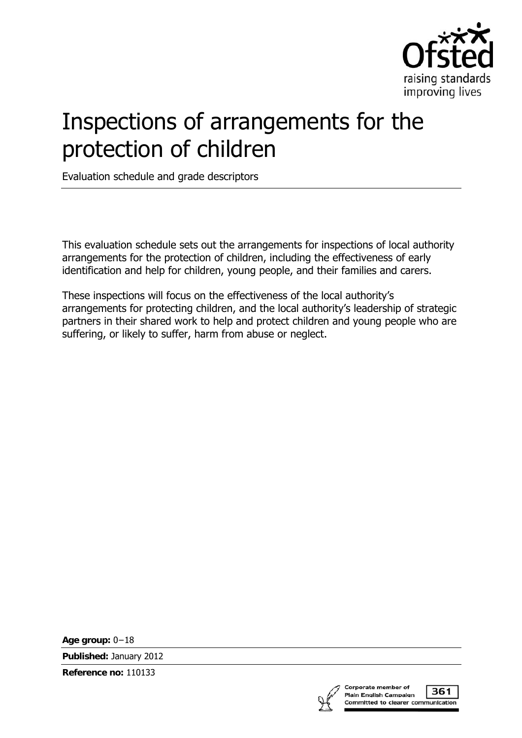

# Inspections of arrangements for the protection of children

Evaluation schedule and grade descriptors

This evaluation schedule sets out the arrangements for inspections of local authority arrangements for the protection of children, including the effectiveness of early identification and help for children, young people, and their families and carers.

These inspections will focus on the effectiveness of the local authority's arrangements for protecting children, and the local authority's leadership of strategic partners in their shared work to help and protect children and young people who are suffering, or likely to suffer, harm from abuse or neglect.

**Age group:** 0−18

**Published:** January 2012

**Reference no:** 110133



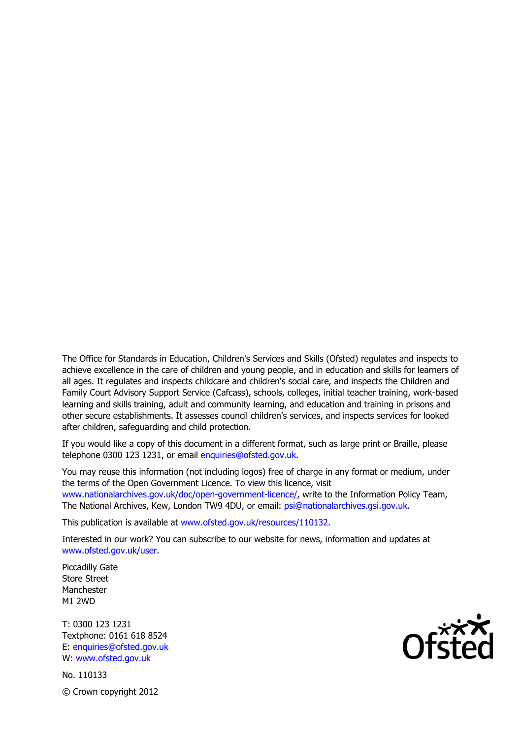The Office for Standards in Education, Children's Services and Skills (Ofsted) regulates and inspects to achieve excellence in the care of children and young people, and in education and skills for learners of all ages. It regulates and inspects childcare and children's social care, and inspects the Children and Family Court Advisory Support Service (Cafcass), schools, colleges, initial teacher training, work-based learning and skills training, adult and community learning, and education and training in prisons and other secure establishments. It assesses council children's services, and inspects services for looked after children, safeguarding and child protection.

If you would like a copy of this document in a different format, such as large print or Braille, please telephone 0300 123 1231, or email enquiries@ofsted.gov.uk.

You may reuse this information (not including logos) free of charge in any format or medium, under the terms of the Open Government Licence. To view this licence, visit www.nationalarchives.gov.uk/doc/open-government-licence/, write to the Information Policy Team, The National Archives, Kew, London TW9 4DU, or email: psi@nationalarchives.gsi.gov.uk.

This publication is available at www.ofsted.gov.uk/resources/110132.

Interested in our work? You can subscribe to our website for news, information and updates at www.ofsted.gov.uk/user.

Piccadilly Gate Store Street Manchester M1 2WD

T: 0300 123 1231 Textphone: 0161 618 8524 E: enquiries@ofsted.gov.uk W: www.ofsted.gov.uk

No. 110133 © Crown copyright 2012

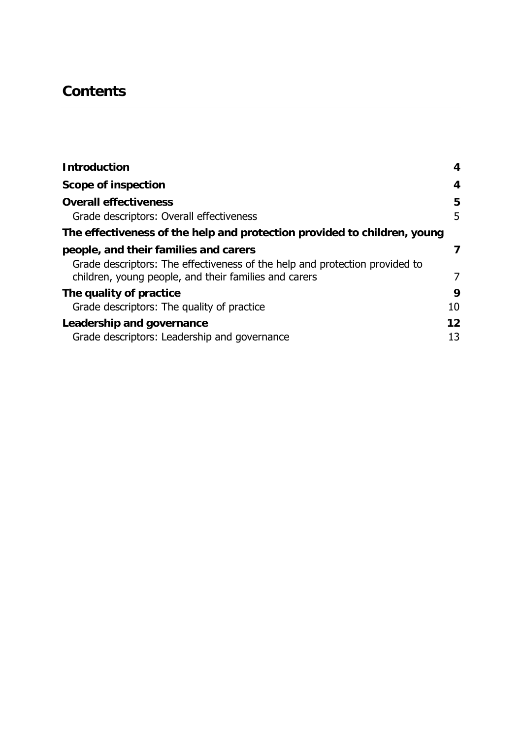# **Contents**

| <b>Introduction</b>                                                                                                                                                           | 4        |
|-------------------------------------------------------------------------------------------------------------------------------------------------------------------------------|----------|
| <b>Scope of inspection</b>                                                                                                                                                    | 4        |
| <b>Overall effectiveness</b><br>Grade descriptors: Overall effectiveness                                                                                                      | 5<br>5   |
| The effectiveness of the help and protection provided to children, young                                                                                                      |          |
| people, and their families and carers<br>Grade descriptors: The effectiveness of the help and protection provided to<br>children, young people, and their families and carers | 7<br>7   |
| The quality of practice<br>Grade descriptors: The quality of practice                                                                                                         | 9<br>10  |
| Leadership and governance<br>Grade descriptors: Leadership and governance                                                                                                     | 12<br>13 |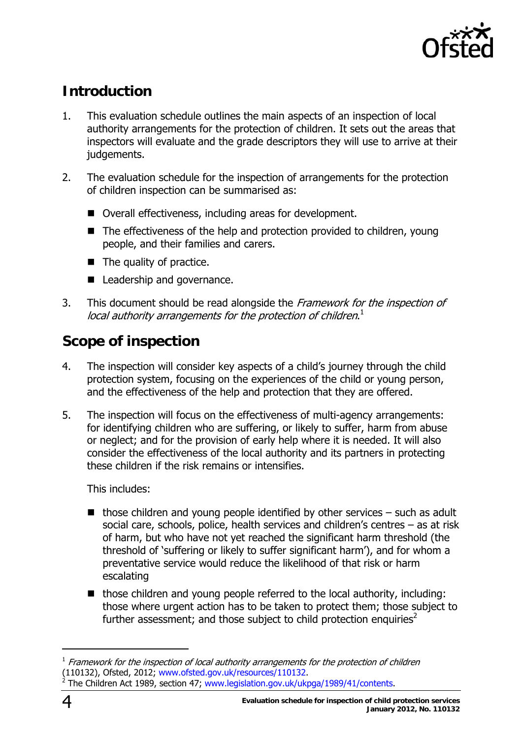

# **Introduction**

- 1. This evaluation schedule outlines the main aspects of an inspection of local authority arrangements for the protection of children. It sets out the areas that inspectors will evaluate and the grade descriptors they will use to arrive at their judgements.
- 2. The evaluation schedule for the inspection of arrangements for the protection of children inspection can be summarised as:
	- Overall effectiveness, including areas for development.
	- $\blacksquare$  The effectiveness of the help and protection provided to children, young people, and their families and carers.
	- $\blacksquare$  The quality of practice.
	- Leadership and governance.
- 3. This document should be read alongside the Framework for the inspection of local authority arrangements for the protection of children. $^1$

## **Scope of inspection**

- 4. The inspection will consider key aspects of a child's journey through the child protection system, focusing on the experiences of the child or young person, and the effectiveness of the help and protection that they are offered.
- 5. The inspection will focus on the effectiveness of multi-agency arrangements: for identifying children who are suffering, or likely to suffer, harm from abuse or neglect; and for the provision of early help where it is needed. It will also consider the effectiveness of the local authority and its partners in protecting these children if the risk remains or intensifies.

This includes:

- $\blacksquare$  those children and young people identified by other services such as adult social care, schools, police, health services and children's centres – as at risk of harm, but who have not yet reached the significant harm threshold (the threshold of 'suffering or likely to suffer significant harm'), and for whom a preventative service would reduce the likelihood of that risk or harm escalating
- those children and young people referred to the local authority, including: those where urgent action has to be taken to protect them; those subject to further assessment; and those subject to child protection enquiries<sup>2</sup>

j

 $1$  Framework for the inspection of local authority arrangements for the protection of children (110132), Ofsted, 2012; www.ofsted.gov.uk/resources/110132. The Children Act 1989, section 47; www.legislation.gov.uk/ukpga/1989/41/contents.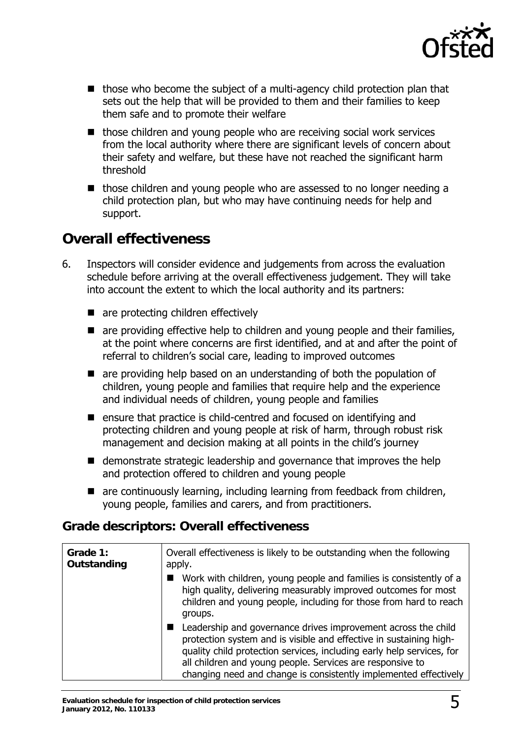

- $\blacksquare$  those who become the subject of a multi-agency child protection plan that sets out the help that will be provided to them and their families to keep them safe and to promote their welfare
- $\blacksquare$  those children and young people who are receiving social work services from the local authority where there are significant levels of concern about their safety and welfare, but these have not reached the significant harm threshold
- $\blacksquare$  those children and young people who are assessed to no longer needing a child protection plan, but who may have continuing needs for help and support.

#### **Overall effectiveness**

- 6. Inspectors will consider evidence and judgements from across the evaluation schedule before arriving at the overall effectiveness judgement. They will take into account the extent to which the local authority and its partners:
	- are protecting children effectively
	- are providing effective help to children and young people and their families, at the point where concerns are first identified, and at and after the point of referral to children's social care, leading to improved outcomes
	- **E** are providing help based on an understanding of both the population of children, young people and families that require help and the experience and individual needs of children, young people and families
	- ensure that practice is child-centred and focused on identifying and protecting children and young people at risk of harm, through robust risk management and decision making at all points in the child's journey
	- demonstrate strategic leadership and governance that improves the help and protection offered to children and young people
	- are continuously learning, including learning from feedback from children, young people, families and carers, and from practitioners.

#### **Grade descriptors: Overall effectiveness**

| Grade 1:<br>Outstanding | Overall effectiveness is likely to be outstanding when the following<br>apply.                                                                                                                                                                                                                                                                |
|-------------------------|-----------------------------------------------------------------------------------------------------------------------------------------------------------------------------------------------------------------------------------------------------------------------------------------------------------------------------------------------|
|                         | Work with children, young people and families is consistently of a<br>high quality, delivering measurably improved outcomes for most<br>children and young people, including for those from hard to reach<br>groups.                                                                                                                          |
|                         | Leadership and governance drives improvement across the child<br>protection system and is visible and effective in sustaining high-<br>quality child protection services, including early help services, for<br>all children and young people. Services are responsive to<br>changing need and change is consistently implemented effectively |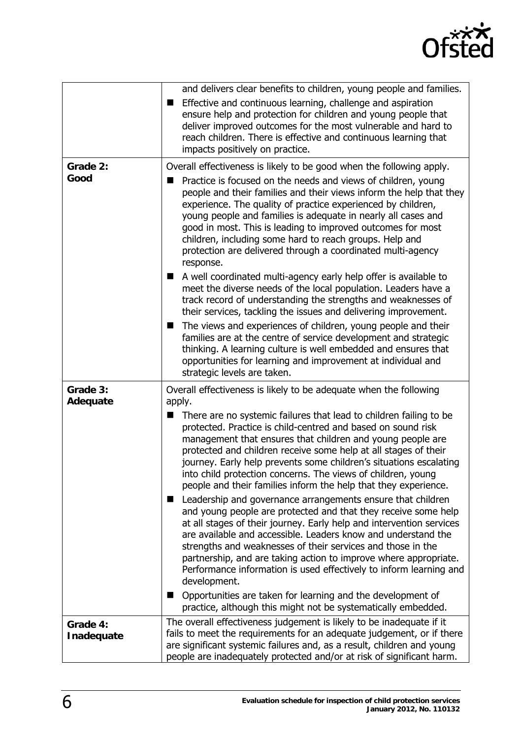

|                        | and delivers clear benefits to children, young people and families.                                                                                                                                                                                                                                                                                                                                                                                                                               |
|------------------------|---------------------------------------------------------------------------------------------------------------------------------------------------------------------------------------------------------------------------------------------------------------------------------------------------------------------------------------------------------------------------------------------------------------------------------------------------------------------------------------------------|
|                        | Effective and continuous learning, challenge and aspiration<br>ensure help and protection for children and young people that<br>deliver improved outcomes for the most vulnerable and hard to<br>reach children. There is effective and continuous learning that<br>impacts positively on practice.                                                                                                                                                                                               |
| Grade 2:               | Overall effectiveness is likely to be good when the following apply.                                                                                                                                                                                                                                                                                                                                                                                                                              |
| Good                   | Practice is focused on the needs and views of children, young<br>people and their families and their views inform the help that they<br>experience. The quality of practice experienced by children,<br>young people and families is adequate in nearly all cases and<br>good in most. This is leading to improved outcomes for most<br>children, including some hard to reach groups. Help and<br>protection are delivered through a coordinated multi-agency<br>response.                       |
|                        | A well coordinated multi-agency early help offer is available to<br>meet the diverse needs of the local population. Leaders have a<br>track record of understanding the strengths and weaknesses of<br>their services, tackling the issues and delivering improvement.                                                                                                                                                                                                                            |
|                        | The views and experiences of children, young people and their<br>families are at the centre of service development and strategic<br>thinking. A learning culture is well embedded and ensures that<br>opportunities for learning and improvement at individual and<br>strategic levels are taken.                                                                                                                                                                                                 |
| Grade 3:<br>Adequate   | Overall effectiveness is likely to be adequate when the following<br>apply.                                                                                                                                                                                                                                                                                                                                                                                                                       |
|                        | There are no systemic failures that lead to children failing to be<br>■<br>protected. Practice is child-centred and based on sound risk<br>management that ensures that children and young people are<br>protected and children receive some help at all stages of their<br>journey. Early help prevents some children's situations escalating<br>into child protection concerns. The views of children, young<br>people and their families inform the help that they experience.                 |
|                        | ■ Leadership and governance arrangements ensure that children<br>and young people are protected and that they receive some help<br>at all stages of their journey. Early help and intervention services<br>are available and accessible. Leaders know and understand the<br>strengths and weaknesses of their services and those in the<br>partnership, and are taking action to improve where appropriate.<br>Performance information is used effectively to inform learning and<br>development. |
|                        | Opportunities are taken for learning and the development of<br>$\blacksquare$<br>practice, although this might not be systematically embedded.                                                                                                                                                                                                                                                                                                                                                    |
| Grade 4:<br>Inadequate | The overall effectiveness judgement is likely to be inadequate if it<br>fails to meet the requirements for an adequate judgement, or if there<br>are significant systemic failures and, as a result, children and young<br>people are inadequately protected and/or at risk of significant harm.                                                                                                                                                                                                  |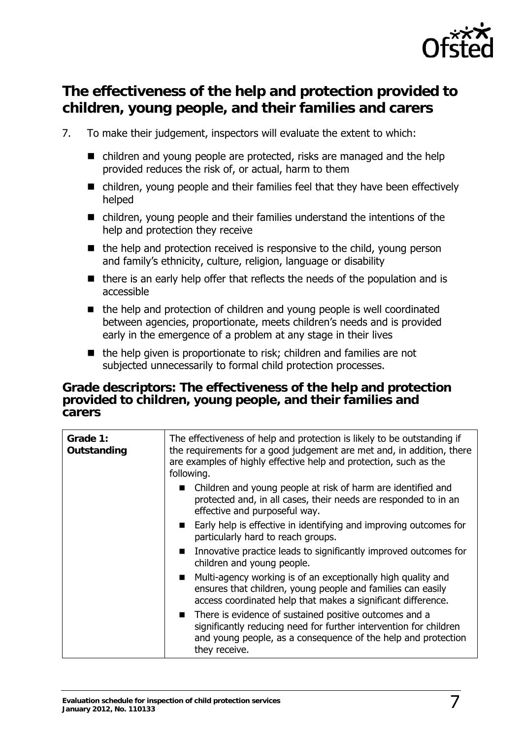

### **The effectiveness of the help and protection provided to children, young people, and their families and carers**

- 7. To make their judgement, inspectors will evaluate the extent to which:
	- children and young people are protected, risks are managed and the help provided reduces the risk of, or actual, harm to them
	- children, young people and their families feel that they have been effectively helped
	- children, young people and their families understand the intentions of the help and protection they receive
	- $\blacksquare$  the help and protection received is responsive to the child, young person and family's ethnicity, culture, religion, language or disability
	- $\blacksquare$  there is an early help offer that reflects the needs of the population and is accessible
	- the help and protection of children and young people is well coordinated between agencies, proportionate, meets children's needs and is provided early in the emergence of a problem at any stage in their lives
	- $\blacksquare$  the help given is proportionate to risk; children and families are not subjected unnecessarily to formal child protection processes.

#### **Grade descriptors: The effectiveness of the help and protection provided to children, young people, and their families and carers**

| Grade 1:<br>Outstanding | The effectiveness of help and protection is likely to be outstanding if<br>the requirements for a good judgement are met and, in addition, there<br>are examples of highly effective help and protection, such as the<br>following. |
|-------------------------|-------------------------------------------------------------------------------------------------------------------------------------------------------------------------------------------------------------------------------------|
|                         | • Children and young people at risk of harm are identified and<br>protected and, in all cases, their needs are responded to in an<br>effective and purposeful way.                                                                  |
|                         | ■ Early help is effective in identifying and improving outcomes for<br>particularly hard to reach groups.                                                                                                                           |
|                         | Innovative practice leads to significantly improved outcomes for<br>$\mathbf{r}$<br>children and young people.                                                                                                                      |
|                         | Multi-agency working is of an exceptionally high quality and<br>$\blacksquare$<br>ensures that children, young people and families can easily<br>access coordinated help that makes a significant difference.                       |
|                         | ■ There is evidence of sustained positive outcomes and a<br>significantly reducing need for further intervention for children<br>and young people, as a consequence of the help and protection<br>they receive.                     |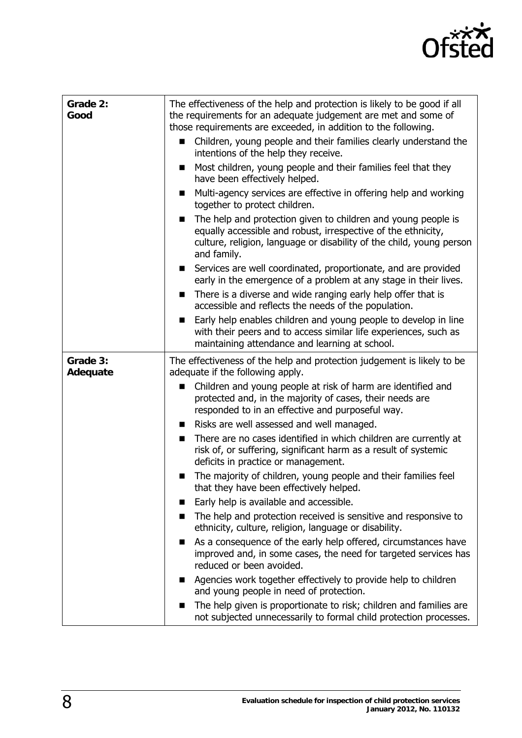

| Grade 2:<br>Good     | The effectiveness of the help and protection is likely to be good if all<br>the requirements for an adequate judgement are met and some of<br>those requirements are exceeded, in addition to the following.<br>Children, young people and their families clearly understand the<br>■<br>intentions of the help they receive. |
|----------------------|-------------------------------------------------------------------------------------------------------------------------------------------------------------------------------------------------------------------------------------------------------------------------------------------------------------------------------|
|                      | Most children, young people and their families feel that they<br>п<br>have been effectively helped.                                                                                                                                                                                                                           |
|                      | Multi-agency services are effective in offering help and working<br>■<br>together to protect children.                                                                                                                                                                                                                        |
|                      | The help and protection given to children and young people is<br>■<br>equally accessible and robust, irrespective of the ethnicity,<br>culture, religion, language or disability of the child, young person<br>and family.                                                                                                    |
|                      | Services are well coordinated, proportionate, and are provided<br>$\blacksquare$<br>early in the emergence of a problem at any stage in their lives.                                                                                                                                                                          |
|                      | There is a diverse and wide ranging early help offer that is<br>$\blacksquare$<br>accessible and reflects the needs of the population.                                                                                                                                                                                        |
|                      | Early help enables children and young people to develop in line<br>with their peers and to access similar life experiences, such as<br>maintaining attendance and learning at school.                                                                                                                                         |
| Grade 3:<br>Adequate | The effectiveness of the help and protection judgement is likely to be<br>adequate if the following apply.                                                                                                                                                                                                                    |
|                      | Children and young people at risk of harm are identified and<br>protected and, in the majority of cases, their needs are<br>responded to in an effective and purposeful way.                                                                                                                                                  |
|                      | Risks are well assessed and well managed.<br>■                                                                                                                                                                                                                                                                                |
|                      | There are no cases identified in which children are currently at<br>$\blacksquare$<br>risk of, or suffering, significant harm as a result of systemic<br>deficits in practice or management.                                                                                                                                  |
|                      | The majority of children, young people and their families feel<br>■<br>that they have been effectively helped.                                                                                                                                                                                                                |
|                      | Early help is available and accessible.                                                                                                                                                                                                                                                                                       |
|                      | The help and protection received is sensitive and responsive to<br>■<br>ethnicity, culture, religion, language or disability.                                                                                                                                                                                                 |
|                      | As a consequence of the early help offered, circumstances have<br>П<br>improved and, in some cases, the need for targeted services has<br>reduced or been avoided.                                                                                                                                                            |
|                      | Agencies work together effectively to provide help to children<br>■<br>and young people in need of protection.                                                                                                                                                                                                                |
|                      | The help given is proportionate to risk; children and families are<br>■<br>not subjected unnecessarily to formal child protection processes.                                                                                                                                                                                  |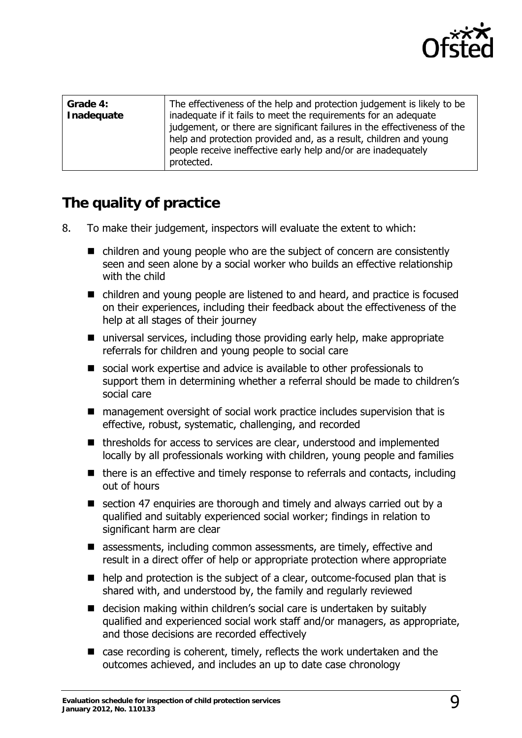

| Grade 4:<br>Inadequate | The effectiveness of the help and protection judgement is likely to be<br>inadequate if it fails to meet the requirements for an adequate<br>judgement, or there are significant failures in the effectiveness of the<br>help and protection provided and, as a result, children and young<br>people receive ineffective early help and/or are inadequately |
|------------------------|-------------------------------------------------------------------------------------------------------------------------------------------------------------------------------------------------------------------------------------------------------------------------------------------------------------------------------------------------------------|
|                        | protected.                                                                                                                                                                                                                                                                                                                                                  |

#### **The quality of practice**

- 8. To make their judgement, inspectors will evaluate the extent to which:
	- children and young people who are the subject of concern are consistently seen and seen alone by a social worker who builds an effective relationship with the child
	- children and young people are listened to and heard, and practice is focused on their experiences, including their feedback about the effectiveness of the help at all stages of their journey
	- universal services, including those providing early help, make appropriate referrals for children and young people to social care
	- social work expertise and advice is available to other professionals to support them in determining whether a referral should be made to children's social care
	- management oversight of social work practice includes supervision that is effective, robust, systematic, challenging, and recorded
	- thresholds for access to services are clear, understood and implemented locally by all professionals working with children, young people and families
	- $\blacksquare$  there is an effective and timely response to referrals and contacts, including out of hours
	- $\blacksquare$  section 47 enquiries are thorough and timely and always carried out by a qualified and suitably experienced social worker; findings in relation to significant harm are clear
	- assessments, including common assessments, are timely, effective and result in a direct offer of help or appropriate protection where appropriate
	- help and protection is the subject of a clear, outcome-focused plan that is shared with, and understood by, the family and regularly reviewed
	- decision making within children's social care is undertaken by suitably qualified and experienced social work staff and/or managers, as appropriate, and those decisions are recorded effectively
	- case recording is coherent, timely, reflects the work undertaken and the outcomes achieved, and includes an up to date case chronology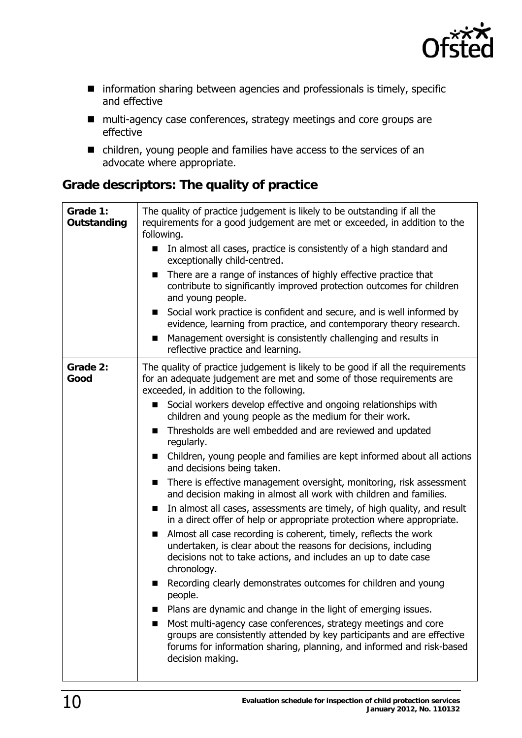

- **n** information sharing between agencies and professionals is timely, specific and effective
- multi-agency case conferences, strategy meetings and core groups are effective
- children, young people and families have access to the services of an advocate where appropriate.

#### **Grade descriptors: The quality of practice**

| Grade 1:<br>Outstanding | The quality of practice judgement is likely to be outstanding if all the<br>requirements for a good judgement are met or exceeded, in addition to the<br>following.<br>In almost all cases, practice is consistently of a high standard and<br>exceptionally child-centred.<br>There are a range of instances of highly effective practice that<br>■<br>contribute to significantly improved protection outcomes for children<br>and young people.<br>Social work practice is confident and secure, and is well informed by<br>ш                                                                                                                                                                                                                                                                                                                                                                                                                                                                                                                                                                                                                                                                                                                                                                                                                                                                                                                           |
|-------------------------|------------------------------------------------------------------------------------------------------------------------------------------------------------------------------------------------------------------------------------------------------------------------------------------------------------------------------------------------------------------------------------------------------------------------------------------------------------------------------------------------------------------------------------------------------------------------------------------------------------------------------------------------------------------------------------------------------------------------------------------------------------------------------------------------------------------------------------------------------------------------------------------------------------------------------------------------------------------------------------------------------------------------------------------------------------------------------------------------------------------------------------------------------------------------------------------------------------------------------------------------------------------------------------------------------------------------------------------------------------------------------------------------------------------------------------------------------------|
|                         | evidence, learning from practice, and contemporary theory research.<br>Management oversight is consistently challenging and results in<br>П<br>reflective practice and learning.                                                                                                                                                                                                                                                                                                                                                                                                                                                                                                                                                                                                                                                                                                                                                                                                                                                                                                                                                                                                                                                                                                                                                                                                                                                                           |
| Grade 2:<br>Good        | The quality of practice judgement is likely to be good if all the requirements<br>for an adequate judgement are met and some of those requirements are<br>exceeded, in addition to the following.<br>Social workers develop effective and ongoing relationships with<br>■<br>children and young people as the medium for their work.<br>Thresholds are well embedded and are reviewed and updated<br>■<br>regularly.<br>Children, young people and families are kept informed about all actions<br>п<br>and decisions being taken.<br>There is effective management oversight, monitoring, risk assessment<br>■<br>and decision making in almost all work with children and families.<br>In almost all cases, assessments are timely, of high quality, and result<br>in a direct offer of help or appropriate protection where appropriate.<br>Almost all case recording is coherent, timely, reflects the work<br>undertaken, is clear about the reasons for decisions, including<br>decisions not to take actions, and includes an up to date case<br>chronology.<br>Recording clearly demonstrates outcomes for children and young<br>people.<br>Plans are dynamic and change in the light of emerging issues.<br>Most multi-agency case conferences, strategy meetings and core<br>groups are consistently attended by key participants and are effective<br>forums for information sharing, planning, and informed and risk-based<br>decision making. |
|                         |                                                                                                                                                                                                                                                                                                                                                                                                                                                                                                                                                                                                                                                                                                                                                                                                                                                                                                                                                                                                                                                                                                                                                                                                                                                                                                                                                                                                                                                            |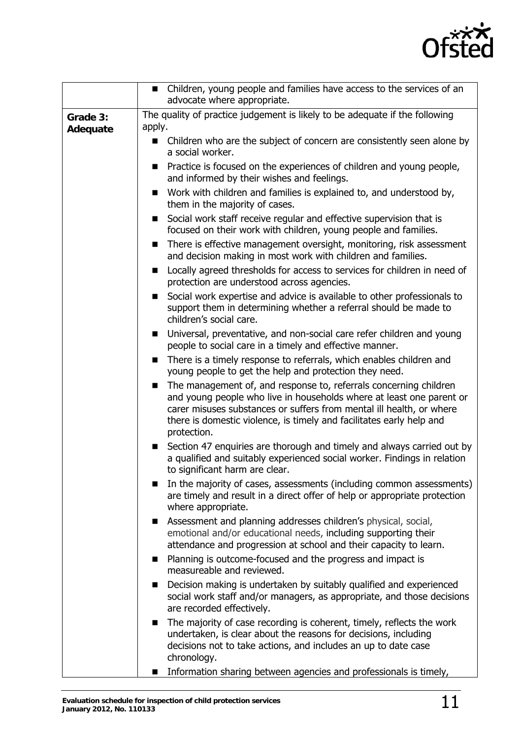

|          | Children, young people and families have access to the services of an<br>$\blacksquare$<br>advocate where appropriate.                                                                                                                                                                                        |
|----------|---------------------------------------------------------------------------------------------------------------------------------------------------------------------------------------------------------------------------------------------------------------------------------------------------------------|
| Grade 3: | The quality of practice judgement is likely to be adequate if the following                                                                                                                                                                                                                                   |
| Adequate | apply.                                                                                                                                                                                                                                                                                                        |
|          | Children who are the subject of concern are consistently seen alone by<br>a social worker.                                                                                                                                                                                                                    |
|          | Practice is focused on the experiences of children and young people,<br>and informed by their wishes and feelings.                                                                                                                                                                                            |
|          | Work with children and families is explained to, and understood by,<br>them in the majority of cases.                                                                                                                                                                                                         |
|          | Social work staff receive regular and effective supervision that is<br>focused on their work with children, young people and families.                                                                                                                                                                        |
|          | There is effective management oversight, monitoring, risk assessment<br>■<br>and decision making in most work with children and families.                                                                                                                                                                     |
|          | Locally agreed thresholds for access to services for children in need of<br>■<br>protection are understood across agencies.                                                                                                                                                                                   |
|          | Social work expertise and advice is available to other professionals to<br>■<br>support them in determining whether a referral should be made to<br>children's social care.                                                                                                                                   |
|          | Universal, preventative, and non-social care refer children and young<br>$\blacksquare$<br>people to social care in a timely and effective manner.                                                                                                                                                            |
|          | There is a timely response to referrals, which enables children and<br>young people to get the help and protection they need.                                                                                                                                                                                 |
|          | The management of, and response to, referrals concerning children<br>п<br>and young people who live in households where at least one parent or<br>carer misuses substances or suffers from mental ill health, or where<br>there is domestic violence, is timely and facilitates early help and<br>protection. |
|          | Section 47 enquiries are thorough and timely and always carried out by<br>a qualified and suitably experienced social worker. Findings in relation<br>to significant harm are clear.                                                                                                                          |
|          | In the majority of cases, assessments (including common assessments)<br>■<br>are timely and result in a direct offer of help or appropriate protection<br>where appropriate.                                                                                                                                  |
|          | Assessment and planning addresses children's physical, social,<br>■<br>emotional and/or educational needs, including supporting their<br>attendance and progression at school and their capacity to learn.                                                                                                    |
|          | Planning is outcome-focused and the progress and impact is<br>■<br>measureable and reviewed.                                                                                                                                                                                                                  |
|          | Decision making is undertaken by suitably qualified and experienced<br>п<br>social work staff and/or managers, as appropriate, and those decisions<br>are recorded effectively.                                                                                                                               |
|          | The majority of case recording is coherent, timely, reflects the work<br>■<br>undertaken, is clear about the reasons for decisions, including<br>decisions not to take actions, and includes an up to date case<br>chronology.                                                                                |
|          | Information sharing between agencies and professionals is timely,<br>$\blacksquare$                                                                                                                                                                                                                           |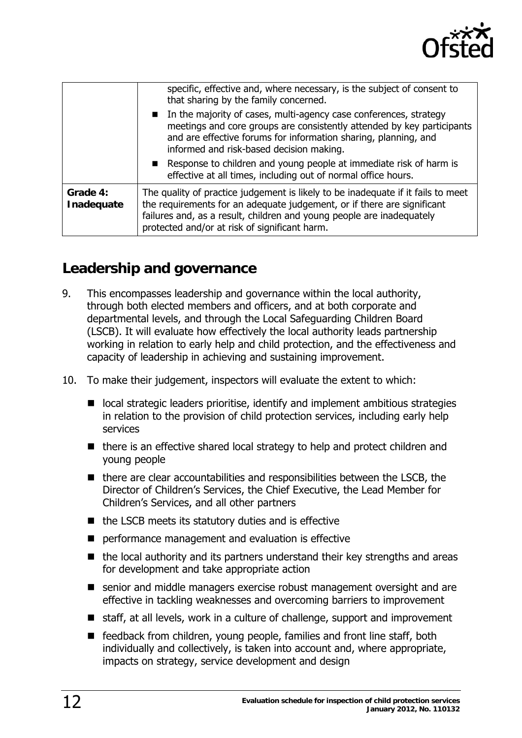

|                        | specific, effective and, where necessary, is the subject of consent to<br>that sharing by the family concerned.                                                                                                                                                                       |
|------------------------|---------------------------------------------------------------------------------------------------------------------------------------------------------------------------------------------------------------------------------------------------------------------------------------|
|                        | In the majority of cases, multi-agency case conferences, strategy<br>meetings and core groups are consistently attended by key participants<br>and are effective forums for information sharing, planning, and<br>informed and risk-based decision making.                            |
|                        | Response to children and young people at immediate risk of harm is<br>effective at all times, including out of normal office hours.                                                                                                                                                   |
| Grade 4:<br>Inadequate | The quality of practice judgement is likely to be inadequate if it fails to meet<br>the requirements for an adequate judgement, or if there are significant<br>failures and, as a result, children and young people are inadequately<br>protected and/or at risk of significant harm. |

#### **Leadership and governance**

- 9. This encompasses leadership and governance within the local authority, through both elected members and officers, and at both corporate and departmental levels, and through the Local Safeguarding Children Board (LSCB). It will evaluate how effectively the local authority leads partnership working in relation to early help and child protection, and the effectiveness and capacity of leadership in achieving and sustaining improvement.
- 10. To make their judgement, inspectors will evaluate the extent to which:
	- local strategic leaders prioritise, identify and implement ambitious strategies in relation to the provision of child protection services, including early help services
	- there is an effective shared local strategy to help and protect children and young people
	- $\blacksquare$  there are clear accountabilities and responsibilities between the LSCB, the Director of Children's Services, the Chief Executive, the Lead Member for Children's Services, and all other partners
	- $\blacksquare$  the LSCB meets its statutory duties and is effective
	- **P** performance management and evaluation is effective
	- $\blacksquare$  the local authority and its partners understand their key strengths and areas for development and take appropriate action
	- senior and middle managers exercise robust management oversight and are effective in tackling weaknesses and overcoming barriers to improvement
	- staff, at all levels, work in a culture of challenge, support and improvement
	- feedback from children, young people, families and front line staff, both individually and collectively, is taken into account and, where appropriate, impacts on strategy, service development and design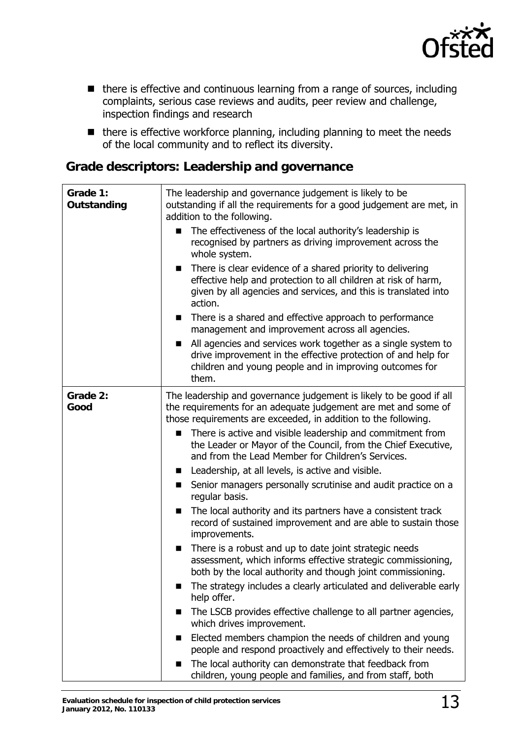

- there is effective and continuous learning from a range of sources, including complaints, serious case reviews and audits, peer review and challenge, inspection findings and research
- there is effective workforce planning, including planning to meet the needs of the local community and to reflect its diversity.

#### **Grade descriptors: Leadership and governance**

| Grade 1:<br>Outstanding | The leadership and governance judgement is likely to be<br>outstanding if all the requirements for a good judgement are met, in<br>addition to the following.<br>The effectiveness of the local authority's leadership is<br>recognised by partners as driving improvement across the<br>whole system.<br>There is clear evidence of a shared priority to delivering<br>$\blacksquare$<br>effective help and protection to all children at risk of harm,<br>given by all agencies and services, and this is translated into<br>action.<br>There is a shared and effective approach to performance<br>$\blacksquare$<br>management and improvement across all agencies.<br>All agencies and services work together as a single system to<br>$\blacksquare$<br>drive improvement in the effective protection of and help for<br>children and young people and in improving outcomes for<br>them.                                                                                                                                                                                                                                                                                                                                                                                                                                                             |
|-------------------------|------------------------------------------------------------------------------------------------------------------------------------------------------------------------------------------------------------------------------------------------------------------------------------------------------------------------------------------------------------------------------------------------------------------------------------------------------------------------------------------------------------------------------------------------------------------------------------------------------------------------------------------------------------------------------------------------------------------------------------------------------------------------------------------------------------------------------------------------------------------------------------------------------------------------------------------------------------------------------------------------------------------------------------------------------------------------------------------------------------------------------------------------------------------------------------------------------------------------------------------------------------------------------------------------------------------------------------------------------------|
| Grade 2:<br>Good        | The leadership and governance judgement is likely to be good if all<br>the requirements for an adequate judgement are met and some of<br>those requirements are exceeded, in addition to the following.<br>There is active and visible leadership and commitment from<br>■<br>the Leader or Mayor of the Council, from the Chief Executive,<br>and from the Lead Member for Children's Services.<br>Leadership, at all levels, is active and visible.<br>s.<br>Senior managers personally scrutinise and audit practice on a<br>■<br>regular basis.<br>The local authority and its partners have a consistent track<br>■<br>record of sustained improvement and are able to sustain those<br>improvements.<br>There is a robust and up to date joint strategic needs<br>■<br>assessment, which informs effective strategic commissioning,<br>both by the local authority and though joint commissioning.<br>The strategy includes a clearly articulated and deliverable early<br>■<br>help offer.<br>The LSCB provides effective challenge to all partner agencies,<br>ш<br>which drives improvement.<br>Elected members champion the needs of children and young<br>people and respond proactively and effectively to their needs.<br>The local authority can demonstrate that feedback from<br>children, young people and families, and from staff, both |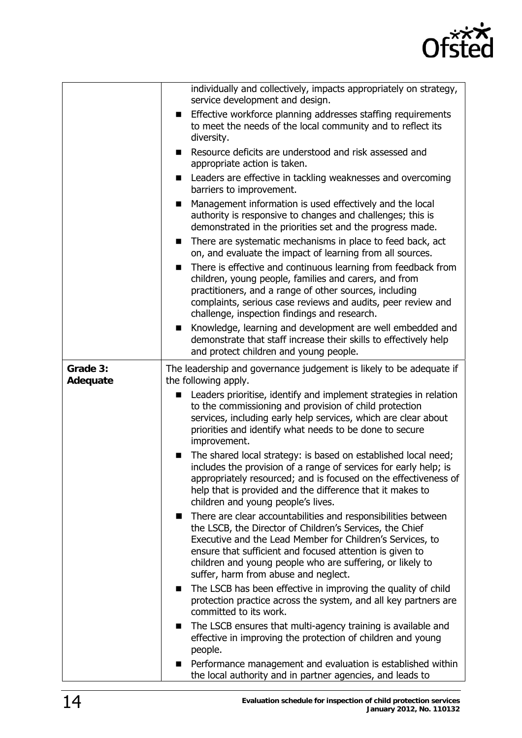

|                      | individually and collectively, impacts appropriately on strategy,<br>service development and design.                                                                                                                                                                                                                                                    |
|----------------------|---------------------------------------------------------------------------------------------------------------------------------------------------------------------------------------------------------------------------------------------------------------------------------------------------------------------------------------------------------|
|                      | Effective workforce planning addresses staffing requirements<br>$\blacksquare$<br>to meet the needs of the local community and to reflect its<br>diversity.                                                                                                                                                                                             |
|                      | Resource deficits are understood and risk assessed and<br>■<br>appropriate action is taken.                                                                                                                                                                                                                                                             |
|                      | Leaders are effective in tackling weaknesses and overcoming<br>$\mathbf{r}$<br>barriers to improvement.                                                                                                                                                                                                                                                 |
|                      | Management information is used effectively and the local<br>■<br>authority is responsive to changes and challenges; this is<br>demonstrated in the priorities set and the progress made.                                                                                                                                                                |
|                      | There are systematic mechanisms in place to feed back, act<br>$\blacksquare$<br>on, and evaluate the impact of learning from all sources.                                                                                                                                                                                                               |
|                      | There is effective and continuous learning from feedback from<br>$\blacksquare$<br>children, young people, families and carers, and from<br>practitioners, and a range of other sources, including<br>complaints, serious case reviews and audits, peer review and<br>challenge, inspection findings and research.                                      |
|                      | Knowledge, learning and development are well embedded and<br>demonstrate that staff increase their skills to effectively help<br>and protect children and young people.                                                                                                                                                                                 |
| Grade 3:<br>Adequate | The leadership and governance judgement is likely to be adequate if<br>the following apply.                                                                                                                                                                                                                                                             |
|                      | Leaders prioritise, identify and implement strategies in relation<br>$\blacksquare$<br>to the commissioning and provision of child protection<br>services, including early help services, which are clear about<br>priorities and identify what needs to be done to secure<br>improvement.                                                              |
|                      | The shared local strategy: is based on established local need;<br>$\mathbf{r}$<br>includes the provision of a range of services for early help; is<br>appropriately resourced; and is focused on the effectiveness of<br>help that is provided and the difference that it makes to<br>children and young people's lives.                                |
|                      | There are clear accountabilities and responsibilities between<br>the LSCB, the Director of Children's Services, the Chief<br>Executive and the Lead Member for Children's Services, to<br>ensure that sufficient and focused attention is given to<br>children and young people who are suffering, or likely to<br>suffer, harm from abuse and neglect. |
|                      | The LSCB has been effective in improving the quality of child<br>■<br>protection practice across the system, and all key partners are<br>committed to its work.                                                                                                                                                                                         |
|                      | The LSCB ensures that multi-agency training is available and<br>$\blacksquare$<br>effective in improving the protection of children and young<br>people.                                                                                                                                                                                                |
|                      | Performance management and evaluation is established within<br>the local authority and in partner agencies, and leads to                                                                                                                                                                                                                                |